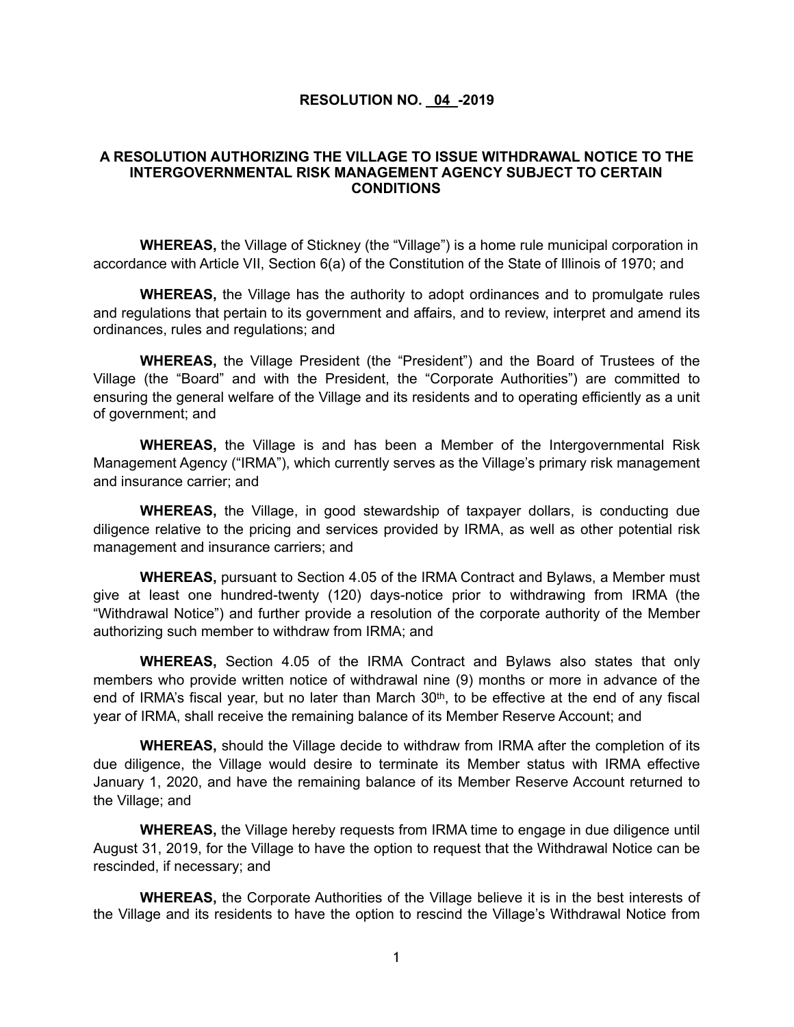## **RESOLUTION NO. 04 -2019**

## **A RESOLUTION AUTHORIZING THE VILLAGE TO ISSUE WITHDRAWAL NOTICE TO THE INTERGOVERNMENTAL RISK MANAGEMENT AGENCY SUBJECT TO CERTAIN CONDITIONS**

**WHEREAS,** the Village of Stickney (the "Village") is a home rule municipal corporation in accordance with Article VII, Section 6(a) of the Constitution of the State of Illinois of 1970; and

**WHEREAS,** the Village has the authority to adopt ordinances and to promulgate rules and regulations that pertain to its government and affairs, and to review, interpret and amend its ordinances, rules and regulations; and

**WHEREAS,** the Village President (the "President") and the Board of Trustees of the Village (the "Board" and with the President, the "Corporate Authorities") are committed to ensuring the general welfare of the Village and its residents and to operating efficiently as a unit of government; and

**WHEREAS,** the Village is and has been a Member of the Intergovernmental Risk Management Agency ("IRMA"), which currently serves as the Village's primary risk management and insurance carrier; and

**WHEREAS,** the Village, in good stewardship of taxpayer dollars, is conducting due diligence relative to the pricing and services provided by IRMA, as well as other potential risk management and insurance carriers; and

**WHEREAS,** pursuant to Section 4.05 of the IRMA Contract and Bylaws, a Member must give at least one hundred-twenty (120) days-notice prior to withdrawing from IRMA (the "Withdrawal Notice") and further provide a resolution of the corporate authority of the Member authorizing such member to withdraw from IRMA; and

**WHEREAS,** Section 4.05 of the IRMA Contract and Bylaws also states that only members who provide written notice of withdrawal nine (9) months or more in advance of the end of IRMA's fiscal year, but no later than March 30th, to be effective at the end of any fiscal year of IRMA, shall receive the remaining balance of its Member Reserve Account; and

**WHEREAS,** should the Village decide to withdraw from IRMA after the completion of its due diligence, the Village would desire to terminate its Member status with IRMA effective January 1, 2020, and have the remaining balance of its Member Reserve Account returned to the Village; and

**WHEREAS,** the Village hereby requests from IRMA time to engage in due diligence until August 31, 2019, for the Village to have the option to request that the Withdrawal Notice can be rescinded, if necessary; and

**WHEREAS,** the Corporate Authorities of the Village believe it is in the best interests of the Village and its residents to have the option to rescind the Village's Withdrawal Notice from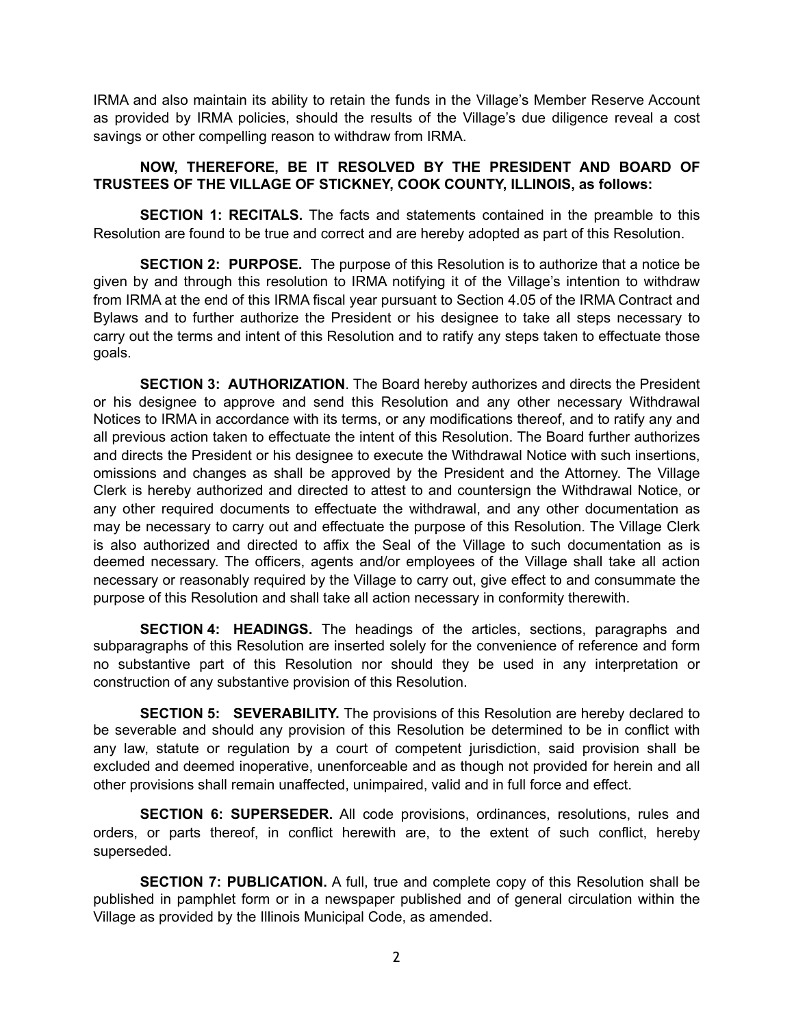IRMA and also maintain its ability to retain the funds in the Village's Member Reserve Account as provided by IRMA policies, should the results of the Village's due diligence reveal a cost savings or other compelling reason to withdraw from IRMA.

## **NOW, THEREFORE, BE IT RESOLVED BY THE PRESIDENT AND BOARD OF TRUSTEES OF THE VILLAGE OF STICKNEY, COOK COUNTY, ILLINOIS, as follows:**

**SECTION 1: RECITALS.** The facts and statements contained in the preamble to this Resolution are found to be true and correct and are hereby adopted as part of this Resolution.

**SECTION 2: PURPOSE.** The purpose of this Resolution is to authorize that a notice be given by and through this resolution to IRMA notifying it of the Village's intention to withdraw from IRMA at the end of this IRMA fiscal year pursuant to Section 4.05 of the IRMA Contract and Bylaws and to further authorize the President or his designee to take all steps necessary to carry out the terms and intent of this Resolution and to ratify any steps taken to effectuate those goals.

**SECTION 3: AUTHORIZATION**. The Board hereby authorizes and directs the President or his designee to approve and send this Resolution and any other necessary Withdrawal Notices to IRMA in accordance with its terms, or any modifications thereof, and to ratify any and all previous action taken to effectuate the intent of this Resolution. The Board further authorizes and directs the President or his designee to execute the Withdrawal Notice with such insertions, omissions and changes as shall be approved by the President and the Attorney. The Village Clerk is hereby authorized and directed to attest to and countersign the Withdrawal Notice, or any other required documents to effectuate the withdrawal, and any other documentation as may be necessary to carry out and effectuate the purpose of this Resolution. The Village Clerk is also authorized and directed to affix the Seal of the Village to such documentation as is deemed necessary. The officers, agents and/or employees of the Village shall take all action necessary or reasonably required by the Village to carry out, give effect to and consummate the purpose of this Resolution and shall take all action necessary in conformity therewith.

**SECTION 4: HEADINGS.** The headings of the articles, sections, paragraphs and subparagraphs of this Resolution are inserted solely for the convenience of reference and form no substantive part of this Resolution nor should they be used in any interpretation or construction of any substantive provision of this Resolution.

**SECTION 5: SEVERABILITY.** The provisions of this Resolution are hereby declared to be severable and should any provision of this Resolution be determined to be in conflict with any law, statute or regulation by a court of competent jurisdiction, said provision shall be excluded and deemed inoperative, unenforceable and as though not provided for herein and all other provisions shall remain unaffected, unimpaired, valid and in full force and effect.

**SECTION 6: SUPERSEDER.** All code provisions, ordinances, resolutions, rules and orders, or parts thereof, in conflict herewith are, to the extent of such conflict, hereby superseded.

**SECTION 7: PUBLICATION.** A full, true and complete copy of this Resolution shall be published in pamphlet form or in a newspaper published and of general circulation within the Village as provided by the Illinois Municipal Code, as amended.